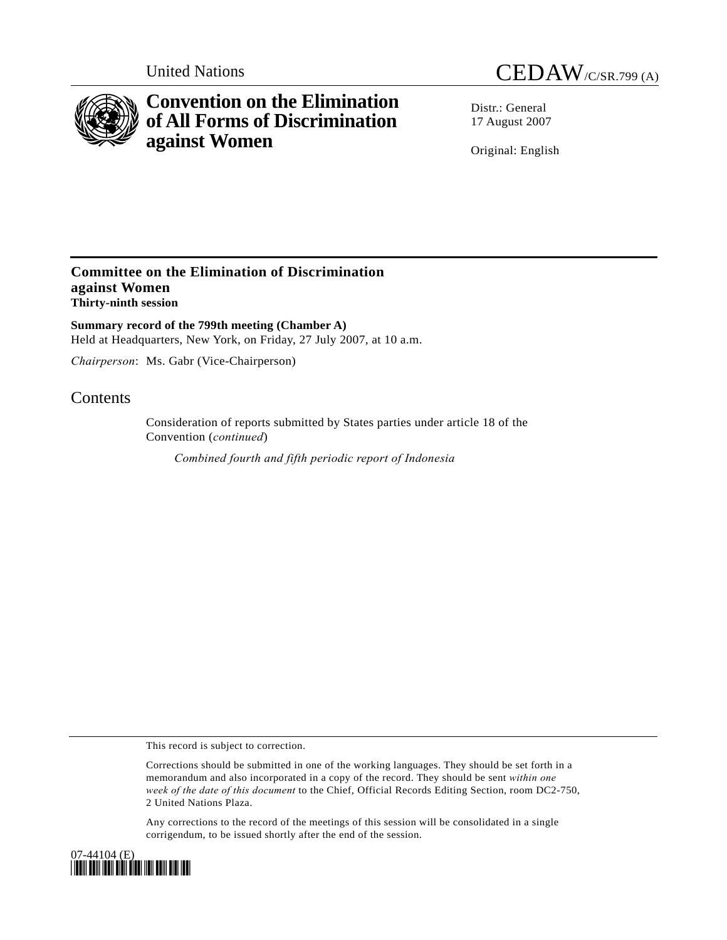

# **Convention on the Elimination of All Forms of Discrimination against Women**

United Nations CEDAW/C/SR.799 (A)

Distr · General 17 August 2007

Original: English

### **Committee on the Elimination of Discrimination against Women Thirty-ninth session**

**Summary record of the 799th meeting (Chamber A)**  Held at Headquarters, New York, on Friday, 27 July 2007, at 10 a.m.

*Chairperson*: Ms. Gabr (Vice-Chairperson)

## **Contents**

Consideration of reports submitted by States parties under article 18 of the Convention (*continued*)

 *Combined fourth and fifth periodic report of Indonesia* 

This record is subject to correction.

Corrections should be submitted in one of the working languages. They should be set forth in a memorandum and also incorporated in a copy of the record. They should be sent *within one week of the date of this document* to the Chief, Official Records Editing Section, room DC2-750, 2 United Nations Plaza.

Any corrections to the record of the meetings of this session will be consolidated in a single corrigendum, to be issued shortly after the end of the session.

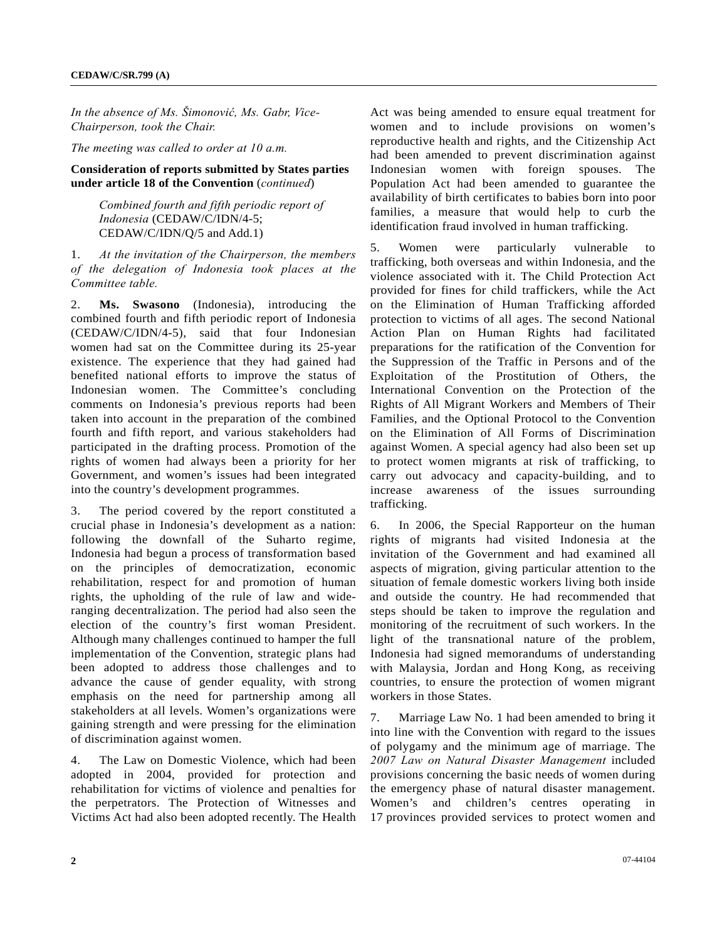*In the absence of Ms. Šimonović, Ms. Gabr, Vice-Chairperson, took the Chair.* 

*The meeting was called to order at 10 a.m.* 

#### **Consideration of reports submitted by States parties under article 18 of the Convention** (*continued*)

 *Combined fourth and fifth periodic report of Indonesia* (CEDAW/C/IDN/4-5; CEDAW/C/IDN/Q/5 and Add.1)

1. *At the invitation of the Chairperson, the members of the delegation of Indonesia took places at the Committee table.*

2. **Ms. Swasono** (Indonesia), introducing the combined fourth and fifth periodic report of Indonesia (CEDAW/C/IDN/4-5), said that four Indonesian women had sat on the Committee during its 25-year existence. The experience that they had gained had benefited national efforts to improve the status of Indonesian women. The Committee's concluding comments on Indonesia's previous reports had been taken into account in the preparation of the combined fourth and fifth report, and various stakeholders had participated in the drafting process. Promotion of the rights of women had always been a priority for her Government, and women's issues had been integrated into the country's development programmes.

3. The period covered by the report constituted a crucial phase in Indonesia's development as a nation: following the downfall of the Suharto regime, Indonesia had begun a process of transformation based on the principles of democratization, economic rehabilitation, respect for and promotion of human rights, the upholding of the rule of law and wideranging decentralization. The period had also seen the election of the country's first woman President. Although many challenges continued to hamper the full implementation of the Convention, strategic plans had been adopted to address those challenges and to advance the cause of gender equality, with strong emphasis on the need for partnership among all stakeholders at all levels. Women's organizations were gaining strength and were pressing for the elimination of discrimination against women.

4. The Law on Domestic Violence, which had been adopted in 2004, provided for protection and rehabilitation for victims of violence and penalties for the perpetrators. The Protection of Witnesses and Victims Act had also been adopted recently. The Health

Act was being amended to ensure equal treatment for women and to include provisions on women's reproductive health and rights, and the Citizenship Act had been amended to prevent discrimination against Indonesian women with foreign spouses. The Population Act had been amended to guarantee the availability of birth certificates to babies born into poor families, a measure that would help to curb the identification fraud involved in human trafficking.

5. Women were particularly vulnerable to trafficking, both overseas and within Indonesia, and the violence associated with it. The Child Protection Act provided for fines for child traffickers, while the Act on the Elimination of Human Trafficking afforded protection to victims of all ages. The second National Action Plan on Human Rights had facilitated preparations for the ratification of the Convention for the Suppression of the Traffic in Persons and of the Exploitation of the Prostitution of Others, the International Convention on the Protection of the Rights of All Migrant Workers and Members of Their Families, and the Optional Protocol to the Convention on the Elimination of All Forms of Discrimination against Women. A special agency had also been set up to protect women migrants at risk of trafficking, to carry out advocacy and capacity-building, and to increase awareness of the issues surrounding trafficking.

6. In 2006, the Special Rapporteur on the human rights of migrants had visited Indonesia at the invitation of the Government and had examined all aspects of migration, giving particular attention to the situation of female domestic workers living both inside and outside the country. He had recommended that steps should be taken to improve the regulation and monitoring of the recruitment of such workers. In the light of the transnational nature of the problem, Indonesia had signed memorandums of understanding with Malaysia, Jordan and Hong Kong, as receiving countries, to ensure the protection of women migrant workers in those States.

7. Marriage Law No. 1 had been amended to bring it into line with the Convention with regard to the issues of polygamy and the minimum age of marriage. The *2007 Law on Natural Disaster Management* included provisions concerning the basic needs of women during the emergency phase of natural disaster management. Women's and children's centres operating in 17 provinces provided services to protect women and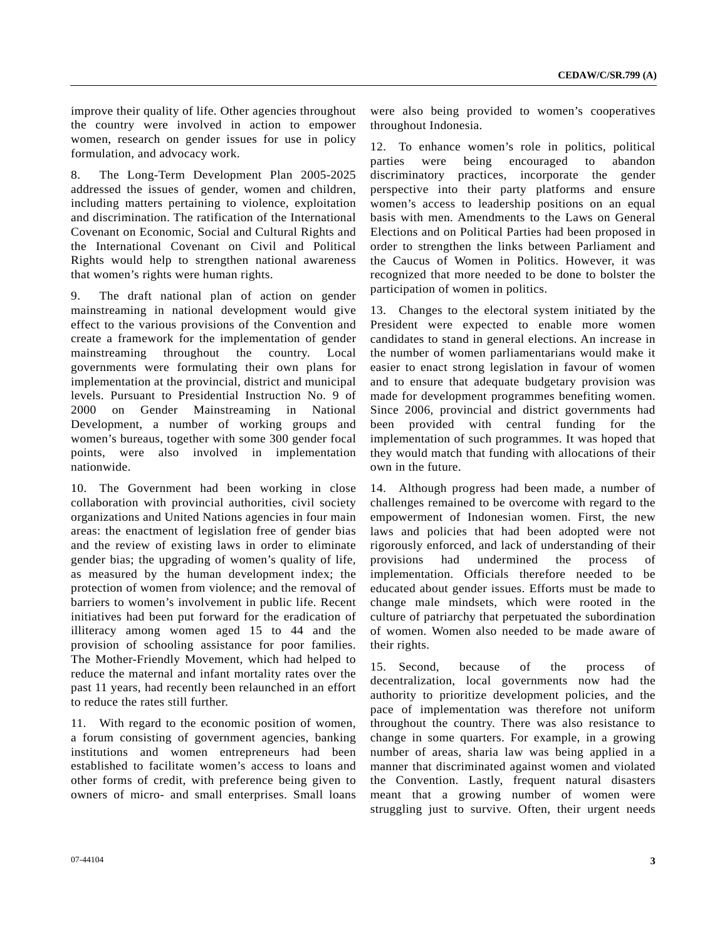improve their quality of life. Other agencies throughout the country were involved in action to empower women, research on gender issues for use in policy formulation, and advocacy work.

8. The Long-Term Development Plan 2005-2025 addressed the issues of gender, women and children, including matters pertaining to violence, exploitation and discrimination. The ratification of the International Covenant on Economic, Social and Cultural Rights and the International Covenant on Civil and Political Rights would help to strengthen national awareness that women's rights were human rights.

9. The draft national plan of action on gender mainstreaming in national development would give effect to the various provisions of the Convention and create a framework for the implementation of gender mainstreaming throughout the country. Local governments were formulating their own plans for implementation at the provincial, district and municipal levels. Pursuant to Presidential Instruction No. 9 of 2000 on Gender Mainstreaming in National Development, a number of working groups and women's bureaus, together with some 300 gender focal points, were also involved in implementation nationwide.

10. The Government had been working in close collaboration with provincial authorities, civil society organizations and United Nations agencies in four main areas: the enactment of legislation free of gender bias and the review of existing laws in order to eliminate gender bias; the upgrading of women's quality of life, as measured by the human development index; the protection of women from violence; and the removal of barriers to women's involvement in public life. Recent initiatives had been put forward for the eradication of illiteracy among women aged 15 to 44 and the provision of schooling assistance for poor families. The Mother-Friendly Movement, which had helped to reduce the maternal and infant mortality rates over the past 11 years, had recently been relaunched in an effort to reduce the rates still further.

11. With regard to the economic position of women, a forum consisting of government agencies, banking institutions and women entrepreneurs had been established to facilitate women's access to loans and other forms of credit, with preference being given to owners of micro- and small enterprises. Small loans were also being provided to women's cooperatives throughout Indonesia.

12. To enhance women's role in politics, political parties were being encouraged to abandon discriminatory practices, incorporate the gender perspective into their party platforms and ensure women's access to leadership positions on an equal basis with men. Amendments to the Laws on General Elections and on Political Parties had been proposed in order to strengthen the links between Parliament and the Caucus of Women in Politics. However, it was recognized that more needed to be done to bolster the participation of women in politics.

13. Changes to the electoral system initiated by the President were expected to enable more women candidates to stand in general elections. An increase in the number of women parliamentarians would make it easier to enact strong legislation in favour of women and to ensure that adequate budgetary provision was made for development programmes benefiting women. Since 2006, provincial and district governments had been provided with central funding for the implementation of such programmes. It was hoped that they would match that funding with allocations of their own in the future.

14. Although progress had been made, a number of challenges remained to be overcome with regard to the empowerment of Indonesian women. First, the new laws and policies that had been adopted were not rigorously enforced, and lack of understanding of their provisions had undermined the process of implementation. Officials therefore needed to be educated about gender issues. Efforts must be made to change male mindsets, which were rooted in the culture of patriarchy that perpetuated the subordination of women. Women also needed to be made aware of their rights.

15. Second, because of the process of decentralization, local governments now had the authority to prioritize development policies, and the pace of implementation was therefore not uniform throughout the country. There was also resistance to change in some quarters. For example, in a growing number of areas, sharia law was being applied in a manner that discriminated against women and violated the Convention. Lastly, frequent natural disasters meant that a growing number of women were struggling just to survive. Often, their urgent needs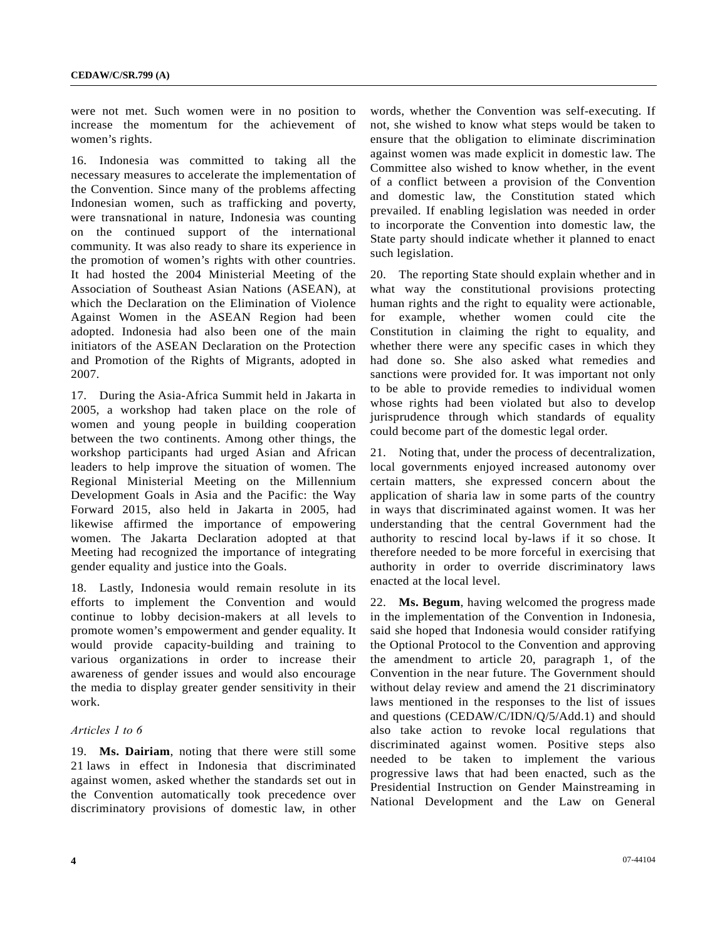were not met. Such women were in no position to increase the momentum for the achievement of women's rights.

16. Indonesia was committed to taking all the necessary measures to accelerate the implementation of the Convention. Since many of the problems affecting Indonesian women, such as trafficking and poverty, were transnational in nature, Indonesia was counting on the continued support of the international community. It was also ready to share its experience in the promotion of women's rights with other countries. It had hosted the 2004 Ministerial Meeting of the Association of Southeast Asian Nations (ASEAN), at which the Declaration on the Elimination of Violence Against Women in the ASEAN Region had been adopted. Indonesia had also been one of the main initiators of the ASEAN Declaration on the Protection and Promotion of the Rights of Migrants, adopted in 2007.

17. During the Asia-Africa Summit held in Jakarta in 2005, a workshop had taken place on the role of women and young people in building cooperation between the two continents. Among other things, the workshop participants had urged Asian and African leaders to help improve the situation of women. The Regional Ministerial Meeting on the Millennium Development Goals in Asia and the Pacific: the Way Forward 2015, also held in Jakarta in 2005, had likewise affirmed the importance of empowering women. The Jakarta Declaration adopted at that Meeting had recognized the importance of integrating gender equality and justice into the Goals.

18. Lastly, Indonesia would remain resolute in its efforts to implement the Convention and would continue to lobby decision-makers at all levels to promote women's empowerment and gender equality. It would provide capacity-building and training to various organizations in order to increase their awareness of gender issues and would also encourage the media to display greater gender sensitivity in their work.

#### *Articles 1 to 6*

19. **Ms. Dairiam**, noting that there were still some 21 laws in effect in Indonesia that discriminated against women, asked whether the standards set out in the Convention automatically took precedence over discriminatory provisions of domestic law, in other

words, whether the Convention was self-executing. If not, she wished to know what steps would be taken to ensure that the obligation to eliminate discrimination against women was made explicit in domestic law. The Committee also wished to know whether, in the event of a conflict between a provision of the Convention and domestic law, the Constitution stated which prevailed. If enabling legislation was needed in order to incorporate the Convention into domestic law, the State party should indicate whether it planned to enact such legislation.

20. The reporting State should explain whether and in what way the constitutional provisions protecting human rights and the right to equality were actionable, for example, whether women could cite the Constitution in claiming the right to equality, and whether there were any specific cases in which they had done so. She also asked what remedies and sanctions were provided for. It was important not only to be able to provide remedies to individual women whose rights had been violated but also to develop jurisprudence through which standards of equality could become part of the domestic legal order.

21. Noting that, under the process of decentralization, local governments enjoyed increased autonomy over certain matters, she expressed concern about the application of sharia law in some parts of the country in ways that discriminated against women. It was her understanding that the central Government had the authority to rescind local by-laws if it so chose. It therefore needed to be more forceful in exercising that authority in order to override discriminatory laws enacted at the local level.

22. **Ms. Begum**, having welcomed the progress made in the implementation of the Convention in Indonesia, said she hoped that Indonesia would consider ratifying the Optional Protocol to the Convention and approving the amendment to article 20, paragraph 1, of the Convention in the near future. The Government should without delay review and amend the 21 discriminatory laws mentioned in the responses to the list of issues and questions (CEDAW/C/IDN/Q/5/Add.1) and should also take action to revoke local regulations that discriminated against women. Positive steps also needed to be taken to implement the various progressive laws that had been enacted, such as the Presidential Instruction on Gender Mainstreaming in National Development and the Law on General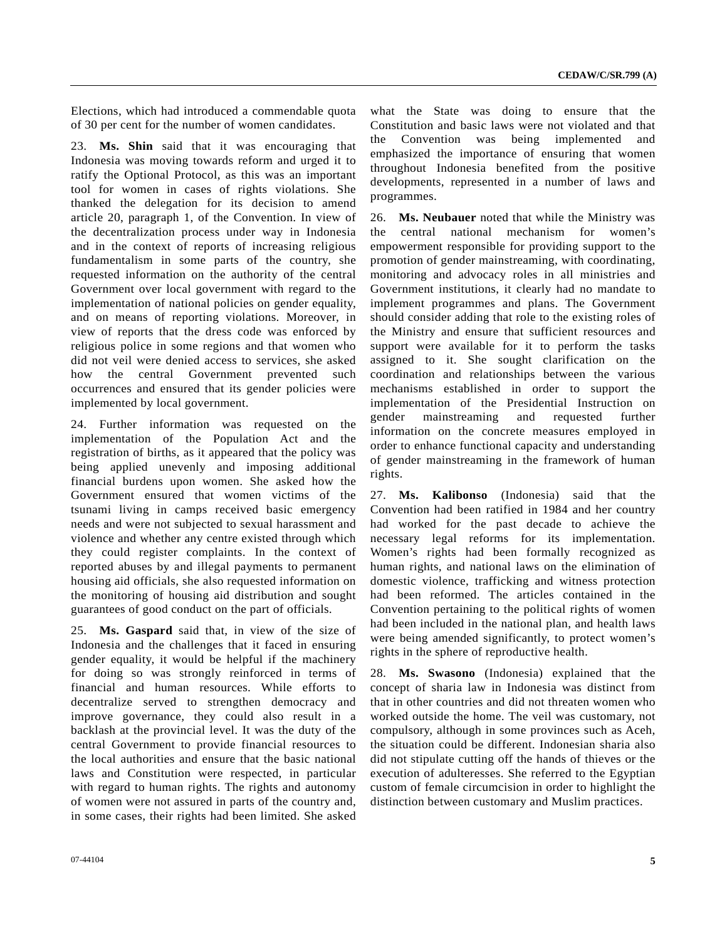Elections, which had introduced a commendable quota of 30 per cent for the number of women candidates.

23. **Ms. Shin** said that it was encouraging that Indonesia was moving towards reform and urged it to ratify the Optional Protocol, as this was an important tool for women in cases of rights violations. She thanked the delegation for its decision to amend article 20, paragraph 1, of the Convention. In view of the decentralization process under way in Indonesia and in the context of reports of increasing religious fundamentalism in some parts of the country, she requested information on the authority of the central Government over local government with regard to the implementation of national policies on gender equality, and on means of reporting violations. Moreover, in view of reports that the dress code was enforced by religious police in some regions and that women who did not veil were denied access to services, she asked how the central Government prevented such occurrences and ensured that its gender policies were implemented by local government.

24. Further information was requested on the implementation of the Population Act and the registration of births, as it appeared that the policy was being applied unevenly and imposing additional financial burdens upon women. She asked how the Government ensured that women victims of the tsunami living in camps received basic emergency needs and were not subjected to sexual harassment and violence and whether any centre existed through which they could register complaints. In the context of reported abuses by and illegal payments to permanent housing aid officials, she also requested information on the monitoring of housing aid distribution and sought guarantees of good conduct on the part of officials.

25. **Ms. Gaspard** said that, in view of the size of Indonesia and the challenges that it faced in ensuring gender equality, it would be helpful if the machinery for doing so was strongly reinforced in terms of financial and human resources. While efforts to decentralize served to strengthen democracy and improve governance, they could also result in a backlash at the provincial level. It was the duty of the central Government to provide financial resources to the local authorities and ensure that the basic national laws and Constitution were respected, in particular with regard to human rights. The rights and autonomy of women were not assured in parts of the country and, in some cases, their rights had been limited. She asked

what the State was doing to ensure that the Constitution and basic laws were not violated and that the Convention was being implemented and emphasized the importance of ensuring that women throughout Indonesia benefited from the positive developments, represented in a number of laws and programmes.

26. **Ms. Neubauer** noted that while the Ministry was the central national mechanism for women's empowerment responsible for providing support to the promotion of gender mainstreaming, with coordinating, monitoring and advocacy roles in all ministries and Government institutions, it clearly had no mandate to implement programmes and plans. The Government should consider adding that role to the existing roles of the Ministry and ensure that sufficient resources and support were available for it to perform the tasks assigned to it. She sought clarification on the coordination and relationships between the various mechanisms established in order to support the implementation of the Presidential Instruction on gender mainstreaming and requested further information on the concrete measures employed in order to enhance functional capacity and understanding of gender mainstreaming in the framework of human rights.

27. **Ms. Kalibonso** (Indonesia) said that the Convention had been ratified in 1984 and her country had worked for the past decade to achieve the necessary legal reforms for its implementation. Women's rights had been formally recognized as human rights, and national laws on the elimination of domestic violence, trafficking and witness protection had been reformed. The articles contained in the Convention pertaining to the political rights of women had been included in the national plan, and health laws were being amended significantly, to protect women's rights in the sphere of reproductive health.

28. **Ms. Swasono** (Indonesia) explained that the concept of sharia law in Indonesia was distinct from that in other countries and did not threaten women who worked outside the home. The veil was customary, not compulsory, although in some provinces such as Aceh, the situation could be different. Indonesian sharia also did not stipulate cutting off the hands of thieves or the execution of adulteresses. She referred to the Egyptian custom of female circumcision in order to highlight the distinction between customary and Muslim practices.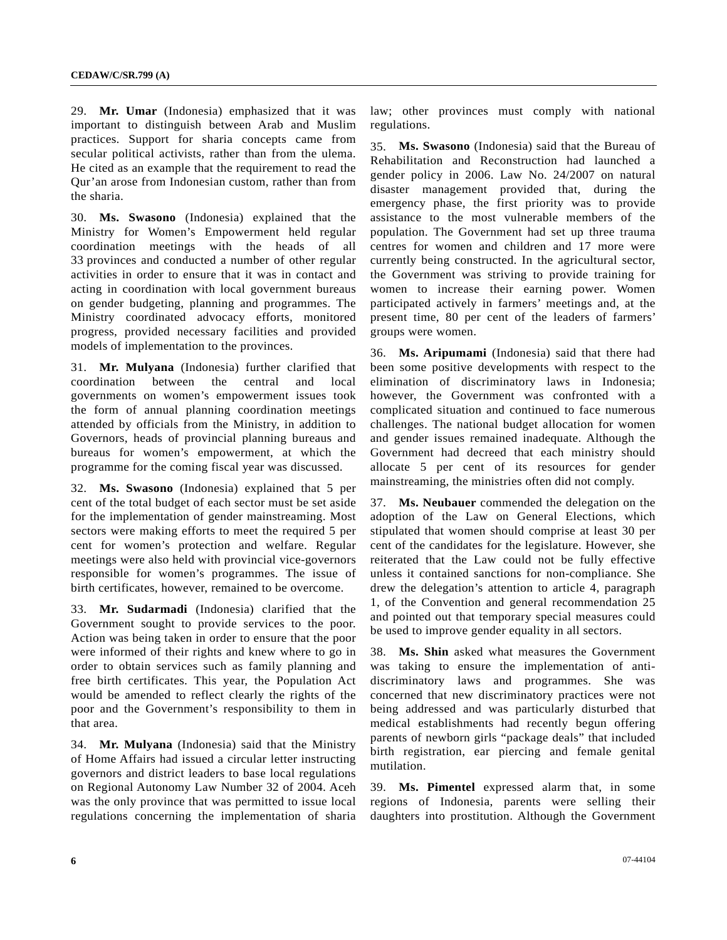29. **Mr. Umar** (Indonesia) emphasized that it was important to distinguish between Arab and Muslim practices. Support for sharia concepts came from secular political activists, rather than from the ulema. He cited as an example that the requirement to read the Qur'an arose from Indonesian custom, rather than from the sharia.

30. **Ms. Swasono** (Indonesia) explained that the Ministry for Women's Empowerment held regular coordination meetings with the heads of all 33 provinces and conducted a number of other regular activities in order to ensure that it was in contact and acting in coordination with local government bureaus on gender budgeting, planning and programmes. The Ministry coordinated advocacy efforts, monitored progress, provided necessary facilities and provided models of implementation to the provinces.

31. **Mr. Mulyana** (Indonesia) further clarified that coordination between the central and local governments on women's empowerment issues took the form of annual planning coordination meetings attended by officials from the Ministry, in addition to Governors, heads of provincial planning bureaus and bureaus for women's empowerment, at which the programme for the coming fiscal year was discussed.

32. **Ms. Swasono** (Indonesia) explained that 5 per cent of the total budget of each sector must be set aside for the implementation of gender mainstreaming. Most sectors were making efforts to meet the required 5 per cent for women's protection and welfare. Regular meetings were also held with provincial vice-governors responsible for women's programmes. The issue of birth certificates, however, remained to be overcome.

33. **Mr. Sudarmadi** (Indonesia) clarified that the Government sought to provide services to the poor. Action was being taken in order to ensure that the poor were informed of their rights and knew where to go in order to obtain services such as family planning and free birth certificates. This year, the Population Act would be amended to reflect clearly the rights of the poor and the Government's responsibility to them in that area.

34. **Mr. Mulyana** (Indonesia) said that the Ministry of Home Affairs had issued a circular letter instructing governors and district leaders to base local regulations on Regional Autonomy Law Number 32 of 2004. Aceh was the only province that was permitted to issue local regulations concerning the implementation of sharia law; other provinces must comply with national regulations.

35. **Ms. Swasono** (Indonesia) said that the Bureau of Rehabilitation and Reconstruction had launched a gender policy in 2006. Law No. 24/2007 on natural disaster management provided that, during the emergency phase, the first priority was to provide assistance to the most vulnerable members of the population. The Government had set up three trauma centres for women and children and 17 more were currently being constructed. In the agricultural sector, the Government was striving to provide training for women to increase their earning power. Women participated actively in farmers' meetings and, at the present time, 80 per cent of the leaders of farmers' groups were women.

36. **Ms. Aripumami** (Indonesia) said that there had been some positive developments with respect to the elimination of discriminatory laws in Indonesia; however, the Government was confronted with a complicated situation and continued to face numerous challenges. The national budget allocation for women and gender issues remained inadequate. Although the Government had decreed that each ministry should allocate 5 per cent of its resources for gender mainstreaming, the ministries often did not comply.

37. **Ms. Neubauer** commended the delegation on the adoption of the Law on General Elections, which stipulated that women should comprise at least 30 per cent of the candidates for the legislature. However, she reiterated that the Law could not be fully effective unless it contained sanctions for non-compliance. She drew the delegation's attention to article 4, paragraph 1, of the Convention and general recommendation 25 and pointed out that temporary special measures could be used to improve gender equality in all sectors.

38. **Ms. Shin** asked what measures the Government was taking to ensure the implementation of antidiscriminatory laws and programmes. She was concerned that new discriminatory practices were not being addressed and was particularly disturbed that medical establishments had recently begun offering parents of newborn girls "package deals" that included birth registration, ear piercing and female genital mutilation.

39. **Ms. Pimentel** expressed alarm that, in some regions of Indonesia, parents were selling their daughters into prostitution. Although the Government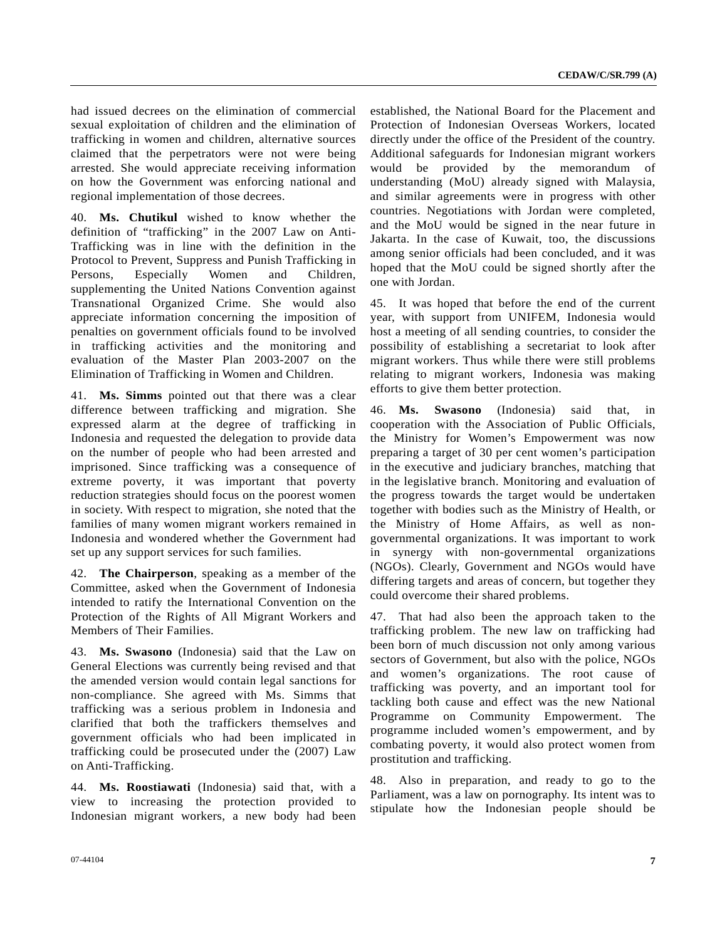had issued decrees on the elimination of commercial sexual exploitation of children and the elimination of trafficking in women and children, alternative sources claimed that the perpetrators were not were being arrested. She would appreciate receiving information on how the Government was enforcing national and regional implementation of those decrees.

40. **Ms. Chutikul** wished to know whether the definition of "trafficking" in the 2007 Law on Anti-Trafficking was in line with the definition in the Protocol to Prevent, Suppress and Punish Trafficking in Persons, Especially Women and Children, supplementing the United Nations Convention against Transnational Organized Crime. She would also appreciate information concerning the imposition of penalties on government officials found to be involved in trafficking activities and the monitoring and evaluation of the Master Plan 2003-2007 on the Elimination of Trafficking in Women and Children.

41. **Ms. Simms** pointed out that there was a clear difference between trafficking and migration. She expressed alarm at the degree of trafficking in Indonesia and requested the delegation to provide data on the number of people who had been arrested and imprisoned. Since trafficking was a consequence of extreme poverty, it was important that poverty reduction strategies should focus on the poorest women in society. With respect to migration, she noted that the families of many women migrant workers remained in Indonesia and wondered whether the Government had set up any support services for such families.

42. **The Chairperson**, speaking as a member of the Committee, asked when the Government of Indonesia intended to ratify the International Convention on the Protection of the Rights of All Migrant Workers and Members of Their Families.

43. **Ms. Swasono** (Indonesia) said that the Law on General Elections was currently being revised and that the amended version would contain legal sanctions for non-compliance. She agreed with Ms. Simms that trafficking was a serious problem in Indonesia and clarified that both the traffickers themselves and government officials who had been implicated in trafficking could be prosecuted under the (2007) Law on Anti-Trafficking.

44. **Ms. Roostiawati** (Indonesia) said that, with a view to increasing the protection provided to Indonesian migrant workers, a new body had been established, the National Board for the Placement and Protection of Indonesian Overseas Workers, located directly under the office of the President of the country. Additional safeguards for Indonesian migrant workers would be provided by the memorandum of understanding (MoU) already signed with Malaysia, and similar agreements were in progress with other countries. Negotiations with Jordan were completed, and the MoU would be signed in the near future in Jakarta. In the case of Kuwait, too, the discussions among senior officials had been concluded, and it was hoped that the MoU could be signed shortly after the one with Jordan.

45. It was hoped that before the end of the current year, with support from UNIFEM, Indonesia would host a meeting of all sending countries, to consider the possibility of establishing a secretariat to look after migrant workers. Thus while there were still problems relating to migrant workers, Indonesia was making efforts to give them better protection.

46. **Ms. Swasono** (Indonesia) said that, in cooperation with the Association of Public Officials, the Ministry for Women's Empowerment was now preparing a target of 30 per cent women's participation in the executive and judiciary branches, matching that in the legislative branch. Monitoring and evaluation of the progress towards the target would be undertaken together with bodies such as the Ministry of Health, or the Ministry of Home Affairs, as well as nongovernmental organizations. It was important to work in synergy with non-governmental organizations (NGOs). Clearly, Government and NGOs would have differing targets and areas of concern, but together they could overcome their shared problems.

47. That had also been the approach taken to the trafficking problem. The new law on trafficking had been born of much discussion not only among various sectors of Government, but also with the police, NGOs and women's organizations. The root cause of trafficking was poverty, and an important tool for tackling both cause and effect was the new National Programme on Community Empowerment. The programme included women's empowerment, and by combating poverty, it would also protect women from prostitution and trafficking.

48. Also in preparation, and ready to go to the Parliament, was a law on pornography. Its intent was to stipulate how the Indonesian people should be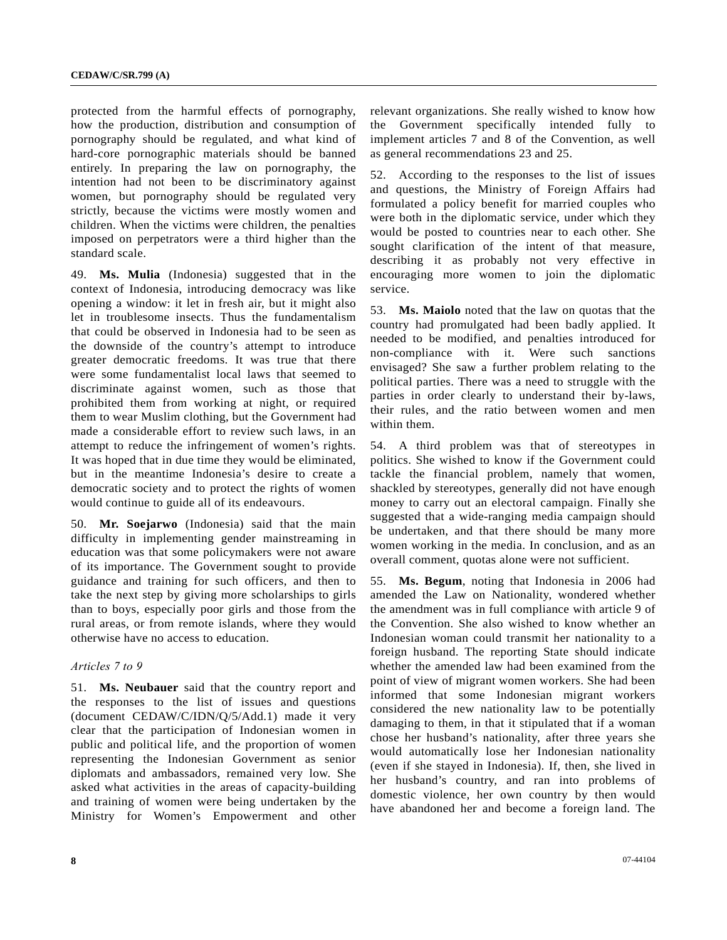protected from the harmful effects of pornography, how the production, distribution and consumption of pornography should be regulated, and what kind of hard-core pornographic materials should be banned entirely. In preparing the law on pornography, the intention had not been to be discriminatory against women, but pornography should be regulated very strictly, because the victims were mostly women and children. When the victims were children, the penalties imposed on perpetrators were a third higher than the standard scale.

49. **Ms. Mulia** (Indonesia) suggested that in the context of Indonesia, introducing democracy was like opening a window: it let in fresh air, but it might also let in troublesome insects. Thus the fundamentalism that could be observed in Indonesia had to be seen as the downside of the country's attempt to introduce greater democratic freedoms. It was true that there were some fundamentalist local laws that seemed to discriminate against women, such as those that prohibited them from working at night, or required them to wear Muslim clothing, but the Government had made a considerable effort to review such laws, in an attempt to reduce the infringement of women's rights. It was hoped that in due time they would be eliminated, but in the meantime Indonesia's desire to create a democratic society and to protect the rights of women would continue to guide all of its endeavours.

50. **Mr. Soejarwo** (Indonesia) said that the main difficulty in implementing gender mainstreaming in education was that some policymakers were not aware of its importance. The Government sought to provide guidance and training for such officers, and then to take the next step by giving more scholarships to girls than to boys, especially poor girls and those from the rural areas, or from remote islands, where they would otherwise have no access to education.

#### *Articles 7 to 9*

51. **Ms. Neubauer** said that the country report and the responses to the list of issues and questions (document CEDAW/C/IDN/Q/5/Add.1) made it very clear that the participation of Indonesian women in public and political life, and the proportion of women representing the Indonesian Government as senior diplomats and ambassadors, remained very low. She asked what activities in the areas of capacity-building and training of women were being undertaken by the Ministry for Women's Empowerment and other relevant organizations. She really wished to know how the Government specifically intended fully to implement articles 7 and 8 of the Convention, as well as general recommendations 23 and 25.

52. According to the responses to the list of issues and questions, the Ministry of Foreign Affairs had formulated a policy benefit for married couples who were both in the diplomatic service, under which they would be posted to countries near to each other. She sought clarification of the intent of that measure, describing it as probably not very effective in encouraging more women to join the diplomatic service.

53. **Ms. Maiolo** noted that the law on quotas that the country had promulgated had been badly applied. It needed to be modified, and penalties introduced for non-compliance with it. Were such sanctions envisaged? She saw a further problem relating to the political parties. There was a need to struggle with the parties in order clearly to understand their by-laws, their rules, and the ratio between women and men within them.

54. A third problem was that of stereotypes in politics. She wished to know if the Government could tackle the financial problem, namely that women, shackled by stereotypes, generally did not have enough money to carry out an electoral campaign. Finally she suggested that a wide-ranging media campaign should be undertaken, and that there should be many more women working in the media. In conclusion, and as an overall comment, quotas alone were not sufficient.

55. **Ms. Begum**, noting that Indonesia in 2006 had amended the Law on Nationality, wondered whether the amendment was in full compliance with article 9 of the Convention. She also wished to know whether an Indonesian woman could transmit her nationality to a foreign husband. The reporting State should indicate whether the amended law had been examined from the point of view of migrant women workers. She had been informed that some Indonesian migrant workers considered the new nationality law to be potentially damaging to them, in that it stipulated that if a woman chose her husband's nationality, after three years she would automatically lose her Indonesian nationality (even if she stayed in Indonesia). If, then, she lived in her husband's country, and ran into problems of domestic violence, her own country by then would have abandoned her and become a foreign land. The